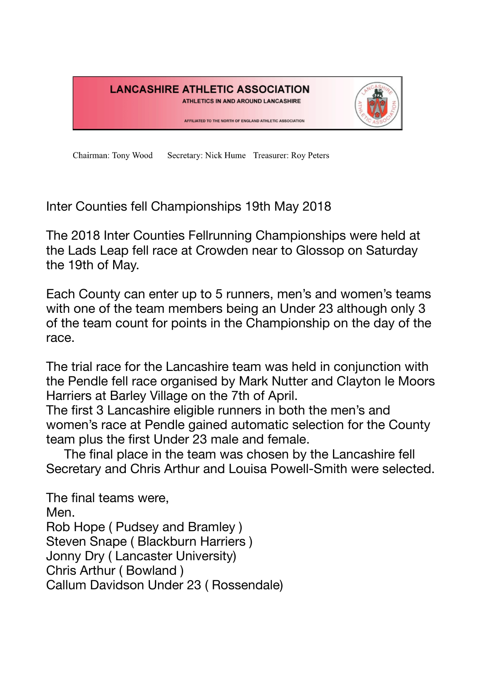

Secretary: Nick Hume Treasurer: Roy Peters Chairman: Tony Wood

Inter Counties fell Championships 19th May 2018

The 2018 Inter Counties Fellrunning Championships were held at the Lads Leap fell race at Crowden near to Glossop on Saturday the 19th of May.

Each County can enter up to 5 runners, men's and women's teams with one of the team members being an Under 23 although only 3 of the team count for points in the Championship on the day of the race.

The trial race for the Lancashire team was held in conjunction with the Pendle fell race organised by Mark Nutter and Clayton le Moors Harriers at Barley Village on the 7th of April.

The first 3 Lancashire eligible runners in both the men's and women's race at Pendle gained automatic selection for the County team plus the first Under 23 male and female.

 The final place in the team was chosen by the Lancashire fell Secretary and Chris Arthur and Louisa Powell-Smith were selected.

The final teams were, Men. Rob Hope ( Pudsey and Bramley ) Steven Snape ( Blackburn Harriers ) Jonny Dry ( Lancaster University) Chris Arthur ( Bowland ) Callum Davidson Under 23 ( Rossendale)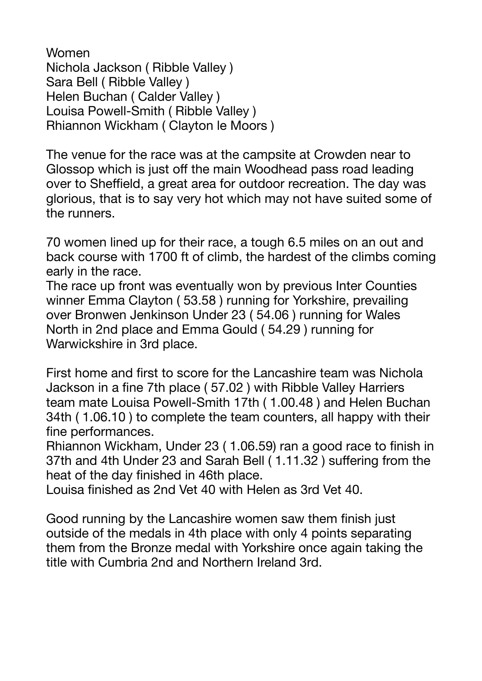Women Nichola Jackson ( Ribble Valley ) Sara Bell ( Ribble Valley ) Helen Buchan ( Calder Valley ) Louisa Powell-Smith ( Ribble Valley ) Rhiannon Wickham ( Clayton le Moors )

The venue for the race was at the campsite at Crowden near to Glossop which is just off the main Woodhead pass road leading over to Sheffield, a great area for outdoor recreation. The day was glorious, that is to say very hot which may not have suited some of the runners.

70 women lined up for their race, a tough 6.5 miles on an out and back course with 1700 ft of climb, the hardest of the climbs coming early in the race.

The race up front was eventually won by previous Inter Counties winner Emma Clayton ( 53.58 ) running for Yorkshire, prevailing over Bronwen Jenkinson Under 23 ( 54.06 ) running for Wales North in 2nd place and Emma Gould ( 54.29 ) running for Warwickshire in 3rd place.

First home and first to score for the Lancashire team was Nichola Jackson in a fine 7th place ( 57.02 ) with Ribble Valley Harriers team mate Louisa Powell-Smith 17th ( 1.00.48 ) and Helen Buchan 34th ( 1.06.10 ) to complete the team counters, all happy with their fine performances.

Rhiannon Wickham, Under 23 ( 1.06.59) ran a good race to finish in 37th and 4th Under 23 and Sarah Bell ( 1.11.32 ) suffering from the heat of the day finished in 46th place.

Louisa finished as 2nd Vet 40 with Helen as 3rd Vet 40.

Good running by the Lancashire women saw them finish just outside of the medals in 4th place with only 4 points separating them from the Bronze medal with Yorkshire once again taking the title with Cumbria 2nd and Northern Ireland 3rd.